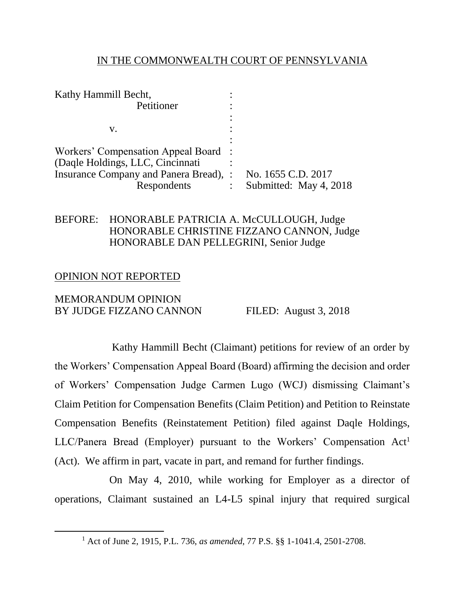## IN THE COMMONWEALTH COURT OF PENNSYLVANIA

| Kathy Hammill Becht,                   |   |                        |
|----------------------------------------|---|------------------------|
| Petitioner                             |   |                        |
|                                        |   |                        |
| v.                                     |   |                        |
|                                        |   |                        |
| Workers' Compensation Appeal Board :   |   |                        |
| (Daqle Holdings, LLC, Cincinnati       |   |                        |
| Insurance Company and Panera Bread), : |   | No. 1655 C.D. 2017     |
| Respondents                            | ٠ | Submitted: May 4, 2018 |
|                                        |   |                        |

# BEFORE: HONORABLE PATRICIA A. McCULLOUGH, Judge HONORABLE CHRISTINE FIZZANO CANNON, Judge HONORABLE DAN PELLEGRINI, Senior Judge

## OPINION NOT REPORTED

 $\overline{a}$ 

MEMORANDUM OPINION BY JUDGE FIZZANO CANNON FILED: August 3, 2018

Kathy Hammill Becht (Claimant) petitions for review of an order by the Workers' Compensation Appeal Board (Board) affirming the decision and order of Workers' Compensation Judge Carmen Lugo (WCJ) dismissing Claimant's Claim Petition for Compensation Benefits (Claim Petition) and Petition to Reinstate Compensation Benefits (Reinstatement Petition) filed against Daqle Holdings,  $LLC/Panera$  Bread (Employer) pursuant to the Workers' Compensation  $Act<sup>1</sup>$ (Act). We affirm in part, vacate in part, and remand for further findings.

On May 4, 2010, while working for Employer as a director of operations, Claimant sustained an L4-L5 spinal injury that required surgical

<sup>1</sup> Act of June 2, 1915, P.L. 736, *as amended*, 77 P.S. §§ 1-1041.4, 2501-2708.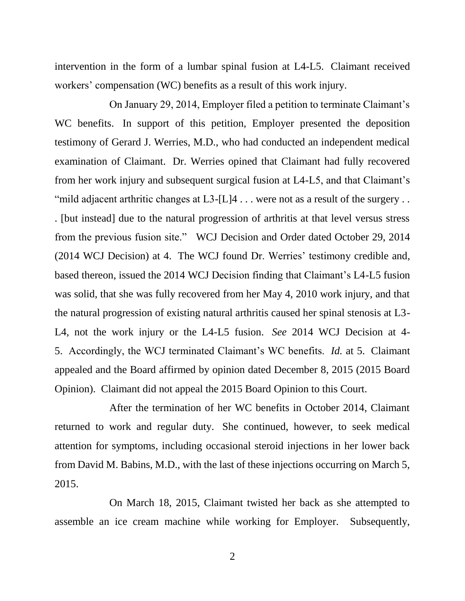intervention in the form of a lumbar spinal fusion at L4-L5. Claimant received workers' compensation (WC) benefits as a result of this work injury.

On January 29, 2014, Employer filed a petition to terminate Claimant's WC benefits. In support of this petition, Employer presented the deposition testimony of Gerard J. Werries, M.D., who had conducted an independent medical examination of Claimant. Dr. Werries opined that Claimant had fully recovered from her work injury and subsequent surgical fusion at L4-L5, and that Claimant's "mild adjacent arthritic changes at  $L3-[L]4$ ... were not as a result of the surgery... . [but instead] due to the natural progression of arthritis at that level versus stress from the previous fusion site." WCJ Decision and Order dated October 29, 2014 (2014 WCJ Decision) at 4. The WCJ found Dr. Werries' testimony credible and, based thereon, issued the 2014 WCJ Decision finding that Claimant's L4-L5 fusion was solid, that she was fully recovered from her May 4, 2010 work injury, and that the natural progression of existing natural arthritis caused her spinal stenosis at L3- L4, not the work injury or the L4-L5 fusion. *See* 2014 WCJ Decision at 4- 5. Accordingly, the WCJ terminated Claimant's WC benefits. *Id.* at 5. Claimant appealed and the Board affirmed by opinion dated December 8, 2015 (2015 Board Opinion). Claimant did not appeal the 2015 Board Opinion to this Court.

After the termination of her WC benefits in October 2014, Claimant returned to work and regular duty. She continued, however, to seek medical attention for symptoms, including occasional steroid injections in her lower back from David M. Babins, M.D., with the last of these injections occurring on March 5, 2015.

On March 18, 2015, Claimant twisted her back as she attempted to assemble an ice cream machine while working for Employer. Subsequently,

2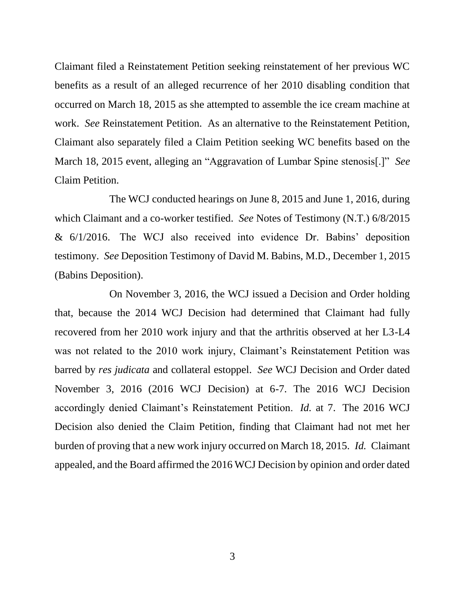Claimant filed a Reinstatement Petition seeking reinstatement of her previous WC benefits as a result of an alleged recurrence of her 2010 disabling condition that occurred on March 18, 2015 as she attempted to assemble the ice cream machine at work. *See* Reinstatement Petition. As an alternative to the Reinstatement Petition, Claimant also separately filed a Claim Petition seeking WC benefits based on the March 18, 2015 event, alleging an "Aggravation of Lumbar Spine stenosis[.]" *See*  Claim Petition.

The WCJ conducted hearings on June 8, 2015 and June 1, 2016, during which Claimant and a co-worker testified. *See* Notes of Testimony (N.T.) 6/8/2015 & 6/1/2016. The WCJ also received into evidence Dr. Babins' deposition testimony. *See* Deposition Testimony of David M. Babins, M.D., December 1, 2015 (Babins Deposition).

On November 3, 2016, the WCJ issued a Decision and Order holding that, because the 2014 WCJ Decision had determined that Claimant had fully recovered from her 2010 work injury and that the arthritis observed at her L3-L4 was not related to the 2010 work injury, Claimant's Reinstatement Petition was barred by *res judicata* and collateral estoppel. *See* WCJ Decision and Order dated November 3, 2016 (2016 WCJ Decision) at 6-7. The 2016 WCJ Decision accordingly denied Claimant's Reinstatement Petition. *Id.* at 7. The 2016 WCJ Decision also denied the Claim Petition, finding that Claimant had not met her burden of proving that a new work injury occurred on March 18, 2015. *Id.* Claimant appealed, and the Board affirmed the 2016 WCJ Decision by opinion and order dated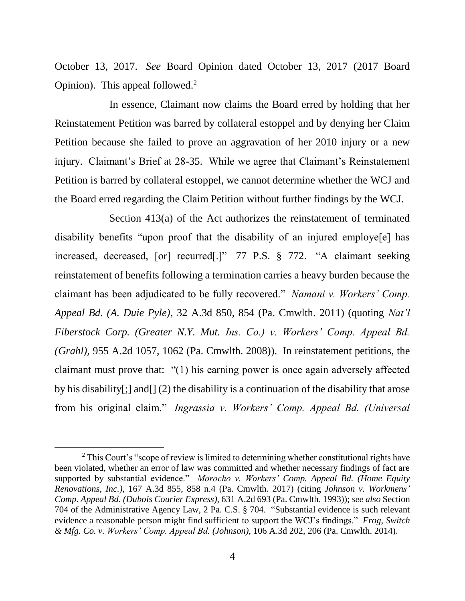October 13, 2017. *See* Board Opinion dated October 13, 2017 (2017 Board Opinion). This appeal followed.<sup>2</sup>

In essence, Claimant now claims the Board erred by holding that her Reinstatement Petition was barred by collateral estoppel and by denying her Claim Petition because she failed to prove an aggravation of her 2010 injury or a new injury. Claimant's Brief at 28-35. While we agree that Claimant's Reinstatement Petition is barred by collateral estoppel, we cannot determine whether the WCJ and the Board erred regarding the Claim Petition without further findings by the WCJ.

Section 413(a) of the Act authorizes the reinstatement of terminated disability benefits "upon proof that the disability of an injured employe[e] has increased, decreased, [or] recurred[.]" 77 P.S. § 772. "A claimant seeking reinstatement of benefits following a termination carries a heavy burden because the claimant has been adjudicated to be fully recovered." *Namani v. Workers' Comp. Appeal Bd. (A. Duie Pyle)*, 32 A.3d 850, 854 (Pa. Cmwlth. 2011) (quoting *Nat'l Fiberstock Corp. (Greater N.Y. Mut. Ins. Co.) v. Workers' Comp. Appeal Bd. (Grahl),* 955 A.2d 1057, 1062 (Pa. Cmwlth. 2008)). In reinstatement petitions, the claimant must prove that: "(1) his earning power is once again adversely affected by his disability[;] and[] (2) the disability is a continuation of the disability that arose from his original claim." *Ingrassia v. Workers' Comp. Appeal Bd. (Universal* 

l

 $2$  This Court's "scope of review is limited to determining whether constitutional rights have been violated, whether an error of law was committed and whether necessary findings of fact are supported by substantial evidence." *Morocho v. Workers' Comp. Appeal Bd. (Home Equity Renovations, Inc.)*, 167 A.3d 855, 858 n.4 (Pa. Cmwlth. 2017) (citing *Johnson v. Workmens' Comp. Appeal Bd. (Dubois Courier Express)*, 631 A.2d 693 (Pa. Cmwlth. 1993)); *see also* Section 704 of the Administrative Agency Law, 2 Pa. C.S. § 704. "Substantial evidence is such relevant evidence a reasonable person might find sufficient to support the WCJ's findings." *Frog, Switch & Mfg. Co. v. Workers' Comp. Appeal Bd. (Johnson)*, 106 A.3d 202, 206 (Pa. Cmwlth. 2014).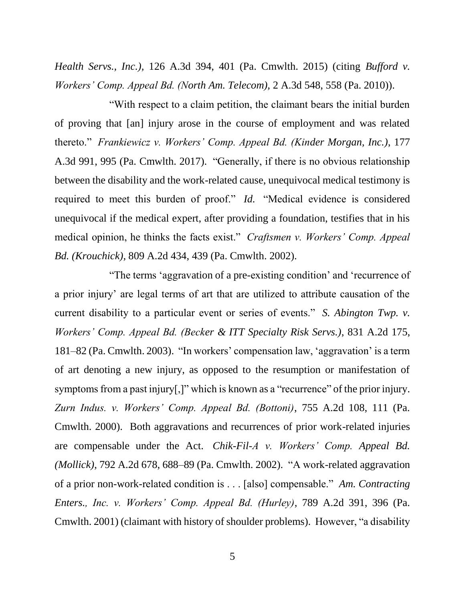*Health Servs., Inc.),* 126 A.3d 394, 401 (Pa. Cmwlth. 2015) (citing *Bufford v. Workers' Comp. Appeal Bd. (North Am. Telecom),* 2 A.3d 548, 558 (Pa. 2010)).

"With respect to a claim petition, the claimant bears the initial burden of proving that [an] injury arose in the course of employment and was related thereto." *Frankiewicz v. Workers' Comp. Appeal Bd. (Kinder Morgan, Inc.)*, 177 A.3d 991, 995 (Pa. Cmwlth. 2017). "Generally, if there is no obvious relationship between the disability and the work-related cause, unequivocal medical testimony is required to meet this burden of proof." *Id.* "Medical evidence is considered unequivocal if the medical expert, after providing a foundation, testifies that in his medical opinion, he thinks the facts exist." *Craftsmen v. Workers' Comp. Appeal Bd. (Krouchick)*, 809 A.2d 434, 439 (Pa. Cmwlth. 2002).

"The terms 'aggravation of a pre-existing condition' and 'recurrence of a prior injury' are legal terms of art that are utilized to attribute causation of the current disability to a particular event or series of events." *S. Abington Twp. v. Workers' Comp. Appeal Bd. (Becker & ITT Specialty Risk Servs.)*, 831 A.2d 175, 181–82 (Pa. Cmwlth. 2003). "In workers' compensation law, 'aggravation' is a term of art denoting a new injury, as opposed to the resumption or manifestation of symptoms from a past injury[,]" which is known as a "recurrence" of the prior injury. *Zurn Indus. v. Workers' Comp. Appeal Bd. (Bottoni)*, 755 A.2d 108, 111 (Pa. Cmwlth. 2000). Both aggravations and recurrences of prior work-related injuries are compensable under the Act. *Chik-Fil-A v. Workers' Comp. Appeal Bd. (Mollick)*, 792 A.2d 678, 688–89 (Pa. Cmwlth. 2002). "A work-related aggravation of a prior non-work-related condition is . . . [also] compensable." *Am. Contracting Enters., Inc. v. Workers' Comp. Appeal Bd. (Hurley)*, 789 A.2d 391, 396 (Pa. Cmwlth. 2001) (claimant with history of shoulder problems). However, "a disability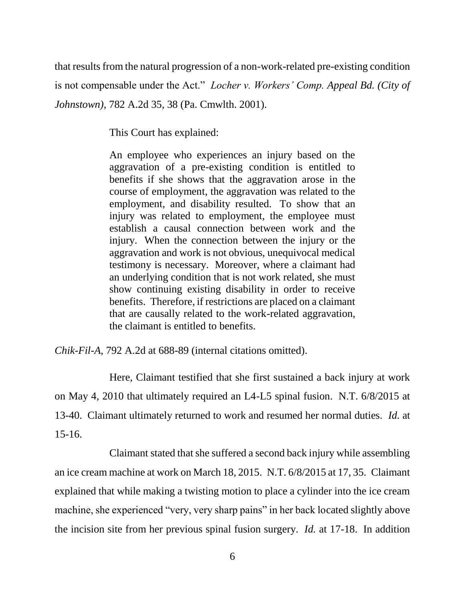that results from the natural progression of a non-work-related pre-existing condition is not compensable under the Act." *Locher v. Workers' Comp. Appeal Bd. (City of Johnstown)*, 782 A.2d 35, 38 (Pa. Cmwlth. 2001).

This Court has explained:

An employee who experiences an injury based on the aggravation of a pre-existing condition is entitled to benefits if she shows that the aggravation arose in the course of employment, the aggravation was related to the employment, and disability resulted. To show that an injury was related to employment, the employee must establish a causal connection between work and the injury. When the connection between the injury or the aggravation and work is not obvious, unequivocal medical testimony is necessary. Moreover, where a claimant had an underlying condition that is not work related, she must show continuing existing disability in order to receive benefits. Therefore, if restrictions are placed on a claimant that are causally related to the work-related aggravation, the claimant is entitled to benefits.

*Chik-Fil-A*, 792 A.2d at 688-89 (internal citations omitted).

Here, Claimant testified that she first sustained a back injury at work on May 4, 2010 that ultimately required an L4-L5 spinal fusion. N.T. 6/8/2015 at 13-40. Claimant ultimately returned to work and resumed her normal duties. *Id.* at 15-16.

Claimant stated that she suffered a second back injury while assembling an ice cream machine at work on March 18, 2015. N.T. 6/8/2015 at 17, 35. Claimant explained that while making a twisting motion to place a cylinder into the ice cream machine, she experienced "very, very sharp pains" in her back located slightly above the incision site from her previous spinal fusion surgery. *Id.* at 17-18. In addition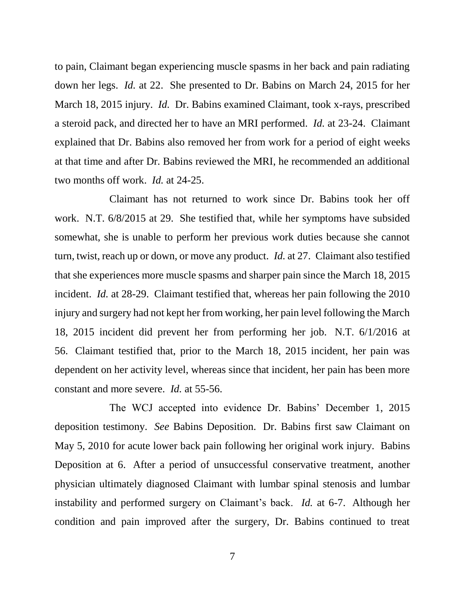to pain, Claimant began experiencing muscle spasms in her back and pain radiating down her legs. *Id.* at 22. She presented to Dr. Babins on March 24, 2015 for her March 18, 2015 injury. *Id.* Dr. Babins examined Claimant, took x-rays, prescribed a steroid pack, and directed her to have an MRI performed. *Id.* at 23-24. Claimant explained that Dr. Babins also removed her from work for a period of eight weeks at that time and after Dr. Babins reviewed the MRI, he recommended an additional two months off work. *Id.* at 24-25.

Claimant has not returned to work since Dr. Babins took her off work. N.T. 6/8/2015 at 29. She testified that, while her symptoms have subsided somewhat, she is unable to perform her previous work duties because she cannot turn, twist, reach up or down, or move any product. *Id.* at 27. Claimant also testified that she experiences more muscle spasms and sharper pain since the March 18, 2015 incident. *Id.* at 28-29. Claimant testified that, whereas her pain following the 2010 injury and surgery had not kept her from working, her pain level following the March 18, 2015 incident did prevent her from performing her job. N.T. 6/1/2016 at 56. Claimant testified that, prior to the March 18, 2015 incident, her pain was dependent on her activity level, whereas since that incident, her pain has been more constant and more severe. *Id.* at 55-56.

The WCJ accepted into evidence Dr. Babins' December 1, 2015 deposition testimony. *See* Babins Deposition. Dr. Babins first saw Claimant on May 5, 2010 for acute lower back pain following her original work injury. Babins Deposition at 6. After a period of unsuccessful conservative treatment, another physician ultimately diagnosed Claimant with lumbar spinal stenosis and lumbar instability and performed surgery on Claimant's back. *Id.* at 6-7. Although her condition and pain improved after the surgery, Dr. Babins continued to treat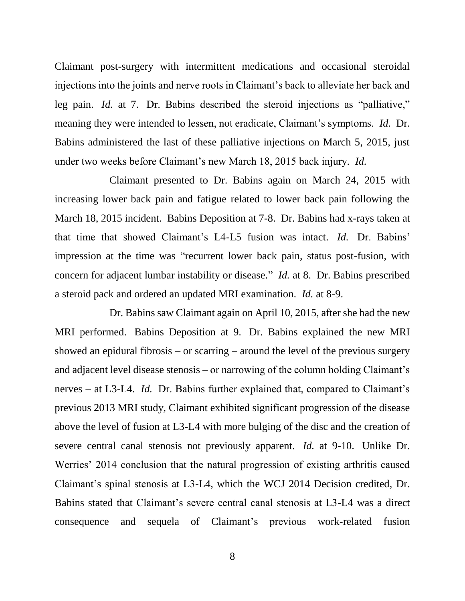Claimant post-surgery with intermittent medications and occasional steroidal injections into the joints and nerve roots in Claimant's back to alleviate her back and leg pain. *Id.* at 7. Dr. Babins described the steroid injections as "palliative," meaning they were intended to lessen, not eradicate, Claimant's symptoms. *Id.* Dr. Babins administered the last of these palliative injections on March 5, 2015, just under two weeks before Claimant's new March 18, 2015 back injury. *Id.*

Claimant presented to Dr. Babins again on March 24, 2015 with increasing lower back pain and fatigue related to lower back pain following the March 18, 2015 incident. Babins Deposition at 7-8. Dr. Babins had x-rays taken at that time that showed Claimant's L4-L5 fusion was intact. *Id.* Dr. Babins' impression at the time was "recurrent lower back pain, status post-fusion, with concern for adjacent lumbar instability or disease." *Id.* at 8. Dr. Babins prescribed a steroid pack and ordered an updated MRI examination. *Id.* at 8-9.

Dr. Babins saw Claimant again on April 10, 2015, after she had the new MRI performed. Babins Deposition at 9. Dr. Babins explained the new MRI showed an epidural fibrosis – or scarring – around the level of the previous surgery and adjacent level disease stenosis – or narrowing of the column holding Claimant's nerves – at L3-L4. *Id.* Dr. Babins further explained that, compared to Claimant's previous 2013 MRI study, Claimant exhibited significant progression of the disease above the level of fusion at L3-L4 with more bulging of the disc and the creation of severe central canal stenosis not previously apparent. *Id.* at 9-10. Unlike Dr. Werries' 2014 conclusion that the natural progression of existing arthritis caused Claimant's spinal stenosis at L3-L4, which the WCJ 2014 Decision credited, Dr. Babins stated that Claimant's severe central canal stenosis at L3-L4 was a direct consequence and sequela of Claimant's previous work-related fusion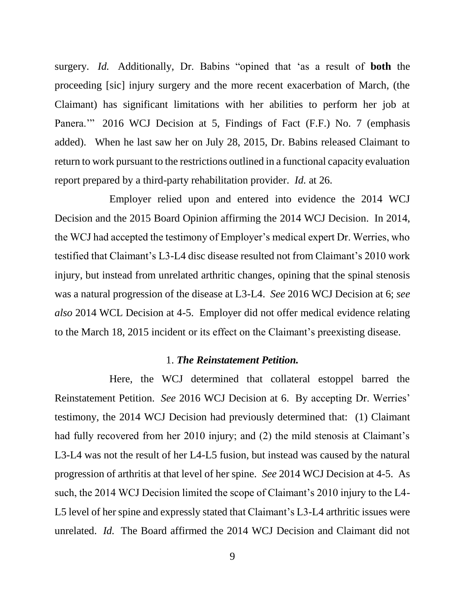surgery. *Id.* Additionally, Dr. Babins "opined that 'as a result of **both** the proceeding [sic] injury surgery and the more recent exacerbation of March, (the Claimant) has significant limitations with her abilities to perform her job at Panera.'" 2016 WCJ Decision at 5, Findings of Fact (F.F.) No. 7 (emphasis added). When he last saw her on July 28, 2015, Dr. Babins released Claimant to return to work pursuant to the restrictions outlined in a functional capacity evaluation report prepared by a third-party rehabilitation provider. *Id.* at 26.

Employer relied upon and entered into evidence the 2014 WCJ Decision and the 2015 Board Opinion affirming the 2014 WCJ Decision. In 2014, the WCJ had accepted the testimony of Employer's medical expert Dr. Werries, who testified that Claimant's L3-L4 disc disease resulted not from Claimant's 2010 work injury, but instead from unrelated arthritic changes, opining that the spinal stenosis was a natural progression of the disease at L3-L4. *See* 2016 WCJ Decision at 6; *see also* 2014 WCL Decision at 4-5. Employer did not offer medical evidence relating to the March 18, 2015 incident or its effect on the Claimant's preexisting disease.

#### 1. *The Reinstatement Petition.*

Here, the WCJ determined that collateral estoppel barred the Reinstatement Petition. *See* 2016 WCJ Decision at 6. By accepting Dr. Werries' testimony, the 2014 WCJ Decision had previously determined that: (1) Claimant had fully recovered from her 2010 injury; and (2) the mild stenosis at Claimant's L3-L4 was not the result of her L4-L5 fusion, but instead was caused by the natural progression of arthritis at that level of her spine. *See* 2014 WCJ Decision at 4-5. As such, the 2014 WCJ Decision limited the scope of Claimant's 2010 injury to the L4- L5 level of her spine and expressly stated that Claimant's L3-L4 arthritic issues were unrelated. *Id.* The Board affirmed the 2014 WCJ Decision and Claimant did not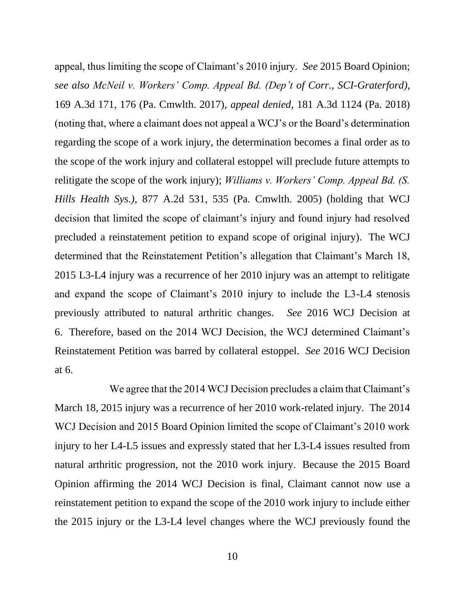appeal, thus limiting the scope of Claimant's 2010 injury. *See* 2015 Board Opinion; *see also McNeil v. Workers' Comp. Appeal Bd. (Dep't of Corr., SCI-Graterford)*, 169 A.3d 171, 176 (Pa. Cmwlth. 2017), *appeal denied*, 181 A.3d 1124 (Pa. 2018) (noting that, where a claimant does not appeal a WCJ's or the Board's determination regarding the scope of a work injury, the determination becomes a final order as to the scope of the work injury and collateral estoppel will preclude future attempts to relitigate the scope of the work injury); *Williams v. Workers' Comp. Appeal Bd. (S. Hills Health Sys.)*, 877 A.2d 531, 535 (Pa. Cmwlth. 2005) (holding that WCJ decision that limited the scope of claimant's injury and found injury had resolved precluded a reinstatement petition to expand scope of original injury). The WCJ determined that the Reinstatement Petition's allegation that Claimant's March 18, 2015 L3-L4 injury was a recurrence of her 2010 injury was an attempt to relitigate and expand the scope of Claimant's 2010 injury to include the L3-L4 stenosis previously attributed to natural arthritic changes. *See* 2016 WCJ Decision at 6. Therefore, based on the 2014 WCJ Decision, the WCJ determined Claimant's Reinstatement Petition was barred by collateral estoppel. *See* 2016 WCJ Decision at 6.

We agree that the 2014 WCJ Decision precludes a claim that Claimant's March 18, 2015 injury was a recurrence of her 2010 work-related injury. The 2014 WCJ Decision and 2015 Board Opinion limited the scope of Claimant's 2010 work injury to her L4-L5 issues and expressly stated that her L3-L4 issues resulted from natural arthritic progression, not the 2010 work injury. Because the 2015 Board Opinion affirming the 2014 WCJ Decision is final, Claimant cannot now use a reinstatement petition to expand the scope of the 2010 work injury to include either the 2015 injury or the L3-L4 level changes where the WCJ previously found the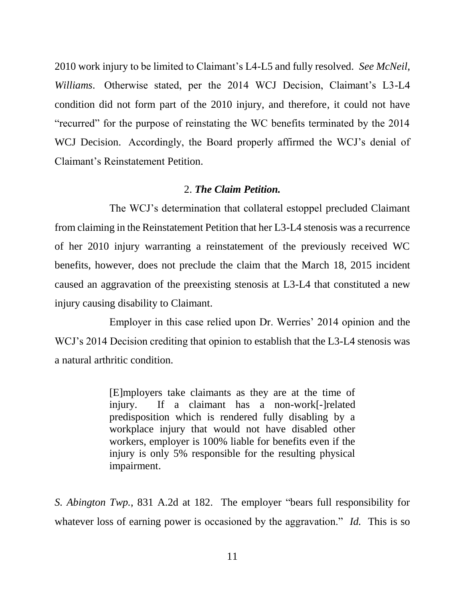2010 work injury to be limited to Claimant's L4-L5 and fully resolved. *See McNeil*, *Williams*. Otherwise stated, per the 2014 WCJ Decision, Claimant's L3-L4 condition did not form part of the 2010 injury, and therefore, it could not have "recurred" for the purpose of reinstating the WC benefits terminated by the 2014 WCJ Decision. Accordingly, the Board properly affirmed the WCJ's denial of Claimant's Reinstatement Petition.

#### 2. *The Claim Petition.*

The WCJ's determination that collateral estoppel precluded Claimant from claiming in the Reinstatement Petition that her L3-L4 stenosis was a recurrence of her 2010 injury warranting a reinstatement of the previously received WC benefits, however, does not preclude the claim that the March 18, 2015 incident caused an aggravation of the preexisting stenosis at L3-L4 that constituted a new injury causing disability to Claimant.

Employer in this case relied upon Dr. Werries' 2014 opinion and the WCJ's 2014 Decision crediting that opinion to establish that the L3-L4 stenosis was a natural arthritic condition.

> [E]mployers take claimants as they are at the time of injury. If a claimant has a non-work[-]related predisposition which is rendered fully disabling by a workplace injury that would not have disabled other workers, employer is 100% liable for benefits even if the injury is only 5% responsible for the resulting physical impairment.

*S. Abington Twp.*, 831 A.2d at 182. The employer "bears full responsibility for whatever loss of earning power is occasioned by the aggravation." *Id.* This is so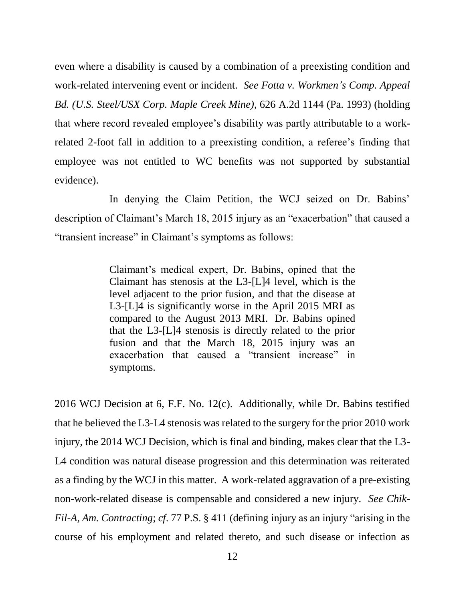even where a disability is caused by a combination of a preexisting condition and work-related intervening event or incident. *See Fotta v. Workmen's Comp. Appeal Bd. (U.S. Steel/USX Corp. Maple Creek Mine)*, 626 A.2d 1144 (Pa. 1993) (holding that where record revealed employee's disability was partly attributable to a workrelated 2-foot fall in addition to a preexisting condition, a referee's finding that employee was not entitled to WC benefits was not supported by substantial evidence).

In denying the Claim Petition, the WCJ seized on Dr. Babins' description of Claimant's March 18, 2015 injury as an "exacerbation" that caused a "transient increase" in Claimant's symptoms as follows:

> Claimant's medical expert, Dr. Babins, opined that the Claimant has stenosis at the L3-[L]4 level, which is the level adjacent to the prior fusion, and that the disease at L3-[L]4 is significantly worse in the April 2015 MRI as compared to the August 2013 MRI. Dr. Babins opined that the L3-[L]4 stenosis is directly related to the prior fusion and that the March 18, 2015 injury was an exacerbation that caused a "transient increase" in symptoms.

2016 WCJ Decision at 6, F.F. No. 12(c). Additionally, while Dr. Babins testified that he believed the L3-L4 stenosis was related to the surgery for the prior 2010 work injury, the 2014 WCJ Decision, which is final and binding, makes clear that the L3- L4 condition was natural disease progression and this determination was reiterated as a finding by the WCJ in this matter. A work-related aggravation of a pre-existing non-work-related disease is compensable and considered a new injury. *See Chik-Fil-A*, *Am. Contracting*; *cf*. 77 P.S. § 411 (defining injury as an injury "arising in the course of his employment and related thereto, and such disease or infection as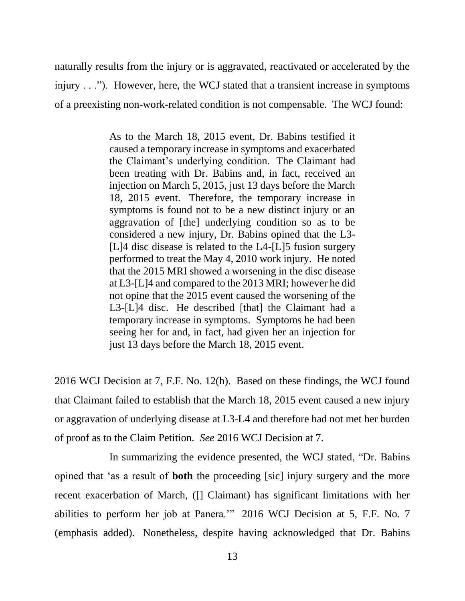naturally results from the injury or is aggravated, reactivated or accelerated by the injury . . ."). However, here, the WCJ stated that a transient increase in symptoms of a preexisting non-work-related condition is not compensable. The WCJ found:

> As to the March 18, 2015 event, Dr. Babins testified it caused a temporary increase in symptoms and exacerbated the Claimant's underlying condition. The Claimant had been treating with Dr. Babins and, in fact, received an injection on March 5, 2015, just 13 days before the March 18, 2015 event. Therefore, the temporary increase in symptoms is found not to be a new distinct injury or an aggravation of [the] underlying condition so as to be considered a new injury, Dr. Babins opined that the L3- [L]4 disc disease is related to the L4-[L]5 fusion surgery performed to treat the May 4, 2010 work injury. He noted that the 2015 MRI showed a worsening in the disc disease at L3-[L]4 and compared to the 2013 MRI; however he did not opine that the 2015 event caused the worsening of the L3-[L]4 disc. He described [that] the Claimant had a temporary increase in symptoms. Symptoms he had been seeing her for and, in fact, had given her an injection for just 13 days before the March 18, 2015 event.

2016 WCJ Decision at 7, F.F. No. 12(h). Based on these findings, the WCJ found that Claimant failed to establish that the March 18, 2015 event caused a new injury or aggravation of underlying disease at L3-L4 and therefore had not met her burden of proof as to the Claim Petition. *See* 2016 WCJ Decision at 7.

In summarizing the evidence presented, the WCJ stated, "Dr. Babins opined that 'as a result of **both** the proceeding [sic] injury surgery and the more recent exacerbation of March, ([] Claimant) has significant limitations with her abilities to perform her job at Panera.'" 2016 WCJ Decision at 5, F.F. No. 7 (emphasis added). Nonetheless, despite having acknowledged that Dr. Babins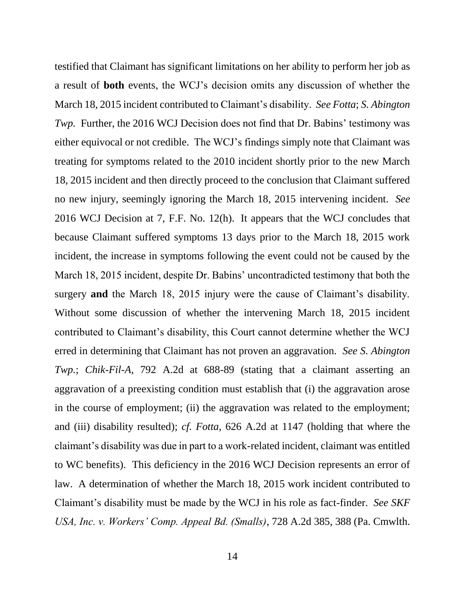testified that Claimant has significant limitations on her ability to perform her job as a result of **both** events, the WCJ's decision omits any discussion of whether the March 18, 2015 incident contributed to Claimant's disability. *See Fotta*; *S. Abington Twp.* Further, the 2016 WCJ Decision does not find that Dr. Babins' testimony was either equivocal or not credible. The WCJ's findings simply note that Claimant was treating for symptoms related to the 2010 incident shortly prior to the new March 18, 2015 incident and then directly proceed to the conclusion that Claimant suffered no new injury, seemingly ignoring the March 18, 2015 intervening incident. *See* 2016 WCJ Decision at 7, F.F. No. 12(h). It appears that the WCJ concludes that because Claimant suffered symptoms 13 days prior to the March 18, 2015 work incident, the increase in symptoms following the event could not be caused by the March 18, 2015 incident, despite Dr. Babins' uncontradicted testimony that both the surgery **and** the March 18, 2015 injury were the cause of Claimant's disability. Without some discussion of whether the intervening March 18, 2015 incident contributed to Claimant's disability, this Court cannot determine whether the WCJ erred in determining that Claimant has not proven an aggravation. *See S. Abington Twp.*; *Chik-Fil-A*, 792 A.2d at 688-89 (stating that a claimant asserting an aggravation of a preexisting condition must establish that (i) the aggravation arose in the course of employment; (ii) the aggravation was related to the employment; and (iii) disability resulted); *cf. Fotta*, 626 A.2d at 1147 (holding that where the claimant's disability was due in part to a work-related incident, claimant was entitled to WC benefits). This deficiency in the 2016 WCJ Decision represents an error of law. A determination of whether the March 18, 2015 work incident contributed to Claimant's disability must be made by the WCJ in his role as fact-finder. *See SKF USA, Inc. v. Workers' Comp. Appeal Bd. (Smalls)*, 728 A.2d 385, 388 (Pa. Cmwlth.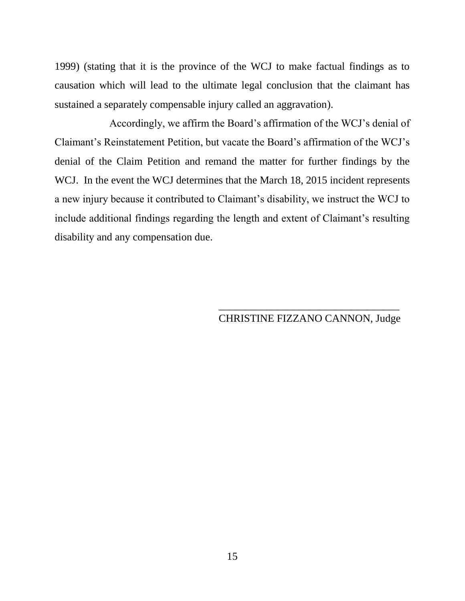1999) (stating that it is the province of the WCJ to make factual findings as to causation which will lead to the ultimate legal conclusion that the claimant has sustained a separately compensable injury called an aggravation).

Accordingly, we affirm the Board's affirmation of the WCJ's denial of Claimant's Reinstatement Petition, but vacate the Board's affirmation of the WCJ's denial of the Claim Petition and remand the matter for further findings by the WCJ. In the event the WCJ determines that the March 18, 2015 incident represents a new injury because it contributed to Claimant's disability, we instruct the WCJ to include additional findings regarding the length and extent of Claimant's resulting disability and any compensation due.

# \_\_\_\_\_\_\_\_\_\_\_\_\_\_\_\_\_\_\_\_\_\_\_\_\_\_\_\_\_\_\_\_\_\_ CHRISTINE FIZZANO CANNON, Judge